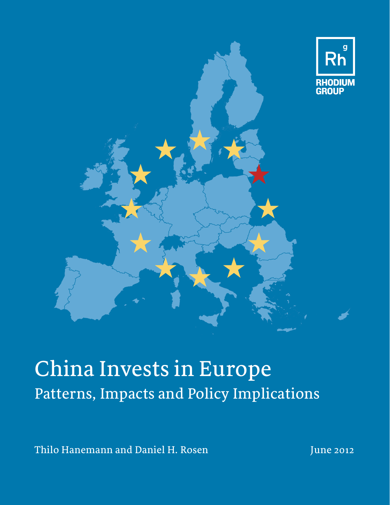

# China Invests in Europe Patterns, Impacts and Policy Implications

Thilo Hanemann and Daniel H. Rosen June 2012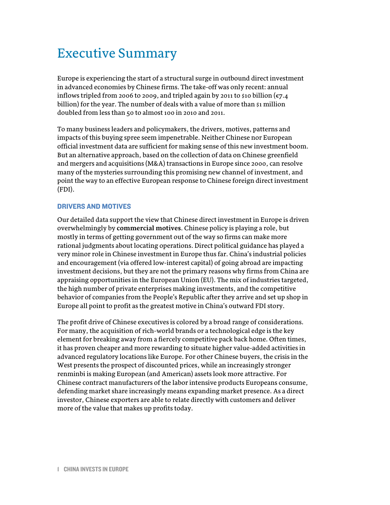# Executive Summary

Europe is experiencing the start of a structural surge in outbound direct investment in advanced economies by Chinese firms. The take-off was only recent: annual inflows tripled from 2006 to 2009, and tripled again by 2011 to \$10 billion ( $\varepsilon$ 7.4 billion) for the year. The number of deals with a value of more than  $\beta_1$  million doubled from less than 50 to almost 100 in 2010 and 2011.

To many business leaders and policymakers, the drivers, motives, patterns and impacts of this buying spree seem impenetrable. Neither Chinese nor European official investment data are sufficient for making sense of this new investment boom. But an alternative approach, based on the collection of data on Chinese greenfield and mergers and acquisitions (M&A) transactions in Europe since 2000, can resolve many of the mysteries surrounding this promising new channel of investment, and point the way to an effective European response to Chinese foreign direct investment (FDI).

# DRIVERS AND MOTIVES

Our detailed data support the view that Chinese direct investment in Europe is driven overwhelmingly by **commercial motives**. Chinese policy is playing a role, but mostly in terms of getting government out of the way so firms can make more rational judgments about locating operations. Direct political guidance has played a very minor role in Chinese investment in Europe thus far. China's industrial policies and encouragement (via offered low-interest capital) of going abroad are impacting investment decisions, but they are not the primary reasons why firms from China are appraising opportunities in the European Union (EU). The mix of industries targeted, the high number of private enterprises making investments, and the competitive behavior of companies from the People's Republic after they arrive and set up shop in Europe all point to profit as the greatest motive in China's outward FDI story.

The profit drive of Chinese executives is colored by a broad range of considerations. For many, the acquisition of rich-world brands or a technological edge is the key element for breaking away from a fiercely competitive pack back home. Often times, it has proven cheaper and more rewarding to situate higher value-added activities in advanced regulatory locations like Europe. For other Chinese buyers, the crisis in the West presents the prospect of discounted prices, while an increasingly stronger renminbi is making European (and American) assets look more attractive. For Chinese contract manufacturers of the labor intensive products Europeans consume, defending market share increasingly means expanding market presence. As a direct investor, Chinese exporters are able to relate directly with customers and deliver more of the value that makes up profits today.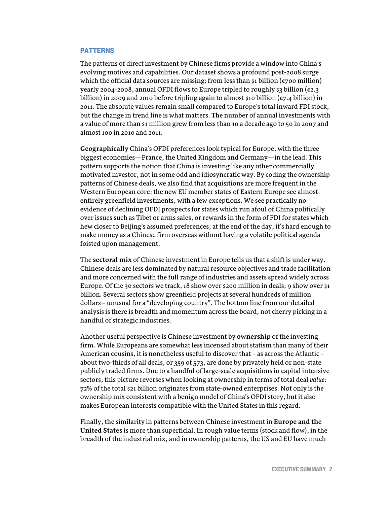#### PATTERNS

The patterns of direct investment by Chinese firms provide a window into China's evolving motives and capabilities. Our dataset shows a profound post-2008 surge which the official data sources are missing: from less than  $\sin \left( \frac{\epsilon}{200} \right)$  million) yearly 2004-2008, annual OFDI flows to Europe tripled to roughly \$3 billion ( $\varepsilon$ 2.3) billion) in 2009 and 2010 before tripling again to almost \$10 billion ( $\epsilon$ 7.4 billion) in 2011. The absolute values remain small compared to Europe's total inward FDI stock, but the change in trend line is what matters. The number of annual investments with a value of more than \$1 million grew from less than 10 a decade ago to 50 in 2007 and almost 100 in 2010 and 2011.

**Geographically** China's OFDI preferences look typical for Europe, with the three biggest economies—France, the United Kingdom and Germany—in the lead. This pattern supports the notion that China is investing like any other commercially motivated investor, not in some odd and idiosyncratic way. By coding the ownership patterns of Chinese deals, we also find that acquisitions are more frequent in the Western European core; the new EU member states of Eastern Europe see almost entirely greenfield investments, with a few exceptions. We see practically no evidence of declining OFDI prospects for states which run afoul of China politically over issues such as Tibet or arms sales, or rewards in the form of FDI for states which hew closer to Beijing's assumed preferences; at the end of the day, it's hard enough to make money as a Chinese firm overseas without having a volatile political agenda foisted upon management.

The **sectoral mix** of Chinese investment in Europe tells us that a shift is under way. Chinese deals are less dominated by natural resource objectives and trade facilitation and more concerned with the full range of industries and assets spread widely across Europe. Of the 30 sectors we track, 18 show over  $s$  200 million in deals; 9 show over  $s_1$ billion. Several sectors show greenfield projects at several hundreds of million dollars – unusual for a "developing country". The bottom line from our detailed analysis is there is breadth and momentum across the board, not cherry picking in a handful of strategic industries.

Another useful perspective is Chinese investment by **ownership** of the investing firm. While Europeans are somewhat less incensed about statism than many of their American cousins, it is nonetheless useful to discover that – as across the Atlantic – about two-thirds of all deals, or 359 of 573, are done by privately held or non-state publicly traded firms. Due to a handful of large-scale acquisitions in capital intensive sectors, this picture reverses when looking at ownership in terms of total deal *value*: 72% of the total \$21 billion originates from state-owned enterprises. Not only is the ownership mix consistent with a benign model of China's OFDI story, but it also makes European interests compatible with the United States in this regard.

Finally, the similarity in patterns between Chinese investment in **Europe and the United States** is more than superficial. In rough value terms (stock and flow), in the breadth of the industrial mix, and in ownership patterns, the US and EU have much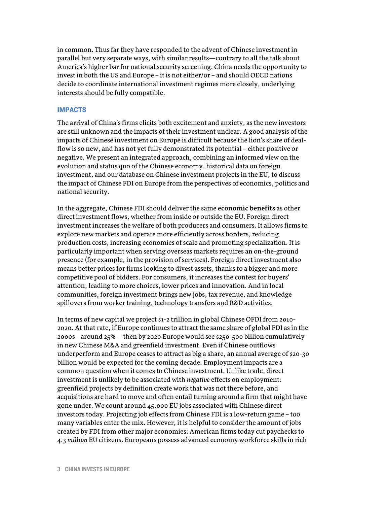in common. Thus far they have responded to the advent of Chinese investment in parallel but very separate ways, with similar results—contrary to all the talk about America's higher bar for national security screening. China needs the opportunity to invest in both the US and Europe – it is not either/or – and should OECD nations decide to coordinate international investment regimes more closely, underlying interests should be fully compatible.

### IMPACTS

The arrival of China's firms elicits both excitement and anxiety, as the new investors are still unknown and the impacts of their investment unclear. A good analysis of the impacts of Chinese investment on Europe is difficult because the lion's share of dealflow is so new, and has not yet fully demonstrated its potential – either positive or negative. We present an integrated approach, combining an informed view on the evolution and status quo of the Chinese economy, historical data on foreign investment, and our database on Chinese investment projects in the EU, to discuss the impact of Chinese FDI on Europe from the perspectives of economics, politics and national security.

In the aggregate, Chinese FDI should deliver the same **economic benefits** as other direct investment flows, whether from inside or outside the EU. Foreign direct investment increases the welfare of both producers and consumers. It allows firms to explore new markets and operate more efficiently across borders, reducing production costs, increasing economies of scale and promoting specialization. It is particularly important when serving overseas markets requires an on-the-ground presence (for example, in the provision of services). Foreign direct investment also means better prices for firms looking to divest assets, thanks to a bigger and more competitive pool of bidders. For consumers, it increases the contest for buyers' attention, leading to more choices, lower prices and innovation. And in local communities, foreign investment brings new jobs, tax revenue, and knowledge spillovers from worker training, technology transfers and R&D activities.

In terms of new capital we project \$1-2 trillion in global Chinese OFDI from 2010- 2020. At that rate, if Europe continues to attract the same share of global FDI as in the 2000s – around 25% -- then by 2020 Europe would see \$250-500 billion cumulatively in new Chinese M&A and greenfield investment. Even if Chinese outflows underperform and Europe ceases to attract as big a share, an annual average of \$20-30 billion would be expected for the coming decade. Employment impacts are a common question when it comes to Chinese investment. Unlike trade, direct investment is unlikely to be associated with *negative* effects on employment: greenfield projects by definition create work that was not there before, and acquisitions are hard to move and often entail turning around a firm that might have gone under. We count around 45,000 EU jobs associated with Chinese direct investors today. Projecting job effects from Chinese FDI is a low-return game – too many variables enter the mix. However, it is helpful to consider the amount of jobs created by FDI from other major economies: American firms today cut paychecks to 4.3 *million* EU citizens. Europeans possess advanced economy workforce skills in rich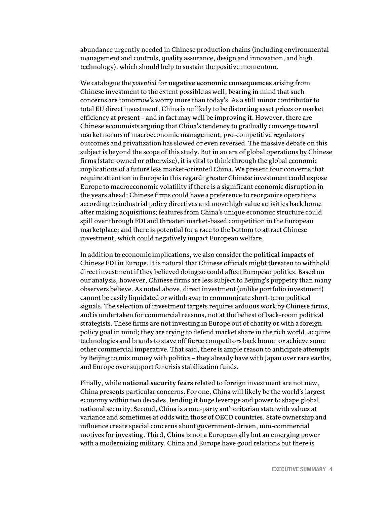abundance urgently needed in Chinese production chains (including environmental management and controls, quality assurance, design and innovation, and high technology), which should help to sustain the positive momentum.

We catalogue the *potential* for **negative economic consequences** arising from Chinese investment to the extent possible as well, bearing in mind that such concerns are tomorrow's worry more than today's. As a still minor contributor to total EU direct investment, China is unlikely to be distorting asset prices or market efficiency at present – and in fact may well be improving it. However, there are Chinese economists arguing that China's tendency to gradually converge toward market norms of macroeconomic management, pro-competitive regulatory outcomes and privatization has slowed or even reversed. The massive debate on this subject is beyond the scope of this study. But in an era of global operations by Chinese firms (state-owned or otherwise), it is vital to think through the global economic implications of a future less market-oriented China. We present four concerns that require attention in Europe in this regard: greater Chinese investment could expose Europe to macroeconomic volatility if there is a significant economic disruption in the years ahead; Chinese firms could have a preference to reorganize operations according to industrial policy directives and move high value activities back home after making acquisitions; features from China's unique economic structure could spill over through FDI and threaten market-based competition in the European marketplace; and there is potential for a race to the bottom to attract Chinese investment, which could negatively impact European welfare.

In addition to economic implications, we also consider the **political impacts** of Chinese FDI in Europe. It is natural that Chinese officials might threaten to withhold direct investment if they believed doing so could affect European politics. Based on our analysis, however, Chinese firms are less subject to Beijing's puppetry than many observers believe. As noted above, direct investment (unlike portfolio investment) cannot be easily liquidated or withdrawn to communicate short-term political signals. The selection of investment targets requires arduous work by Chinese firms, and is undertaken for commercial reasons, not at the behest of back-room political strategists. These firms are not investing in Europe out of charity or with a foreign policy goal in mind; they are trying to defend market share in the rich world, acquire technologies and brands to stave off fierce competitors back home, or achieve some other commercial imperative. That said, there is ample reason to anticipate attempts by Beijing to mix money with politics – they already have with Japan over rare earths, and Europe over support for crisis stabilization funds.

Finally, while **national security fears** related to foreign investment are not new, China presents particular concerns.For one, China will likely be the world's largest economy within two decades, lending it huge leverage and power to shape global national security. Second, China is a one-party authoritarian state with values at variance and sometimes at odds with those of OECD countries. State ownership and influence create special concerns about government-driven, non-commercial motives for investing. Third, China is not a European ally but an emerging power with a modernizing military. China and Europe have good relations but there is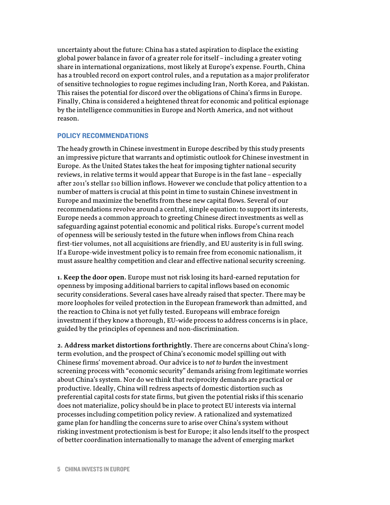uncertainty about the future: China has a stated aspiration to displace the existing global power balance in favor of a greater role for itself – including a greater voting share in international organizations, most likely at Europe's expense. Fourth, China has a troubled record on export control rules, and a reputation as a major proliferator of sensitive technologies to rogue regimes including Iran, North Korea, and Pakistan. This raises the potential for discord over the obligations of China's firms in Europe. Finally, China is considered a heightened threat for economic and political espionage by the intelligence communities in Europe and North America, and not without reason.

## POLICY RECOMMENDATIONS

The heady growth in Chinese investment in Europe described by this study presents an impressive picture that warrants and optimistic outlook for Chinese investment in Europe. As the United States takes the heat for imposing tighter national security reviews, in relative terms it would appear that Europe is in the fast lane – especially after 2011's stellar \$10 billion inflows. However we conclude that policy attention to a number of matters is crucial at this point in time to sustain Chinese investment in Europe and maximize the benefits from these new capital flows. Several of our recommendations revolve around a central, simple equation: to support its interests, Europe needs a common approach to greeting Chinese direct investments as well as safeguarding against potential economic and political risks. Europe's current model of openness will be seriously tested in the future when inflows from China reach first-tier volumes, not all acquisitions are friendly, and EU austerity is in full swing. If a Europe-wide investment policy is to remain free from economic nationalism, it must assure healthy competition and clear and effective national security screening.

**1. Keep the door open.** Europe must not risk losing its hard-earned reputation for openness by imposing additional barriers to capital inflows based on economic security considerations. Several cases have already raised that specter. There may be more loopholes for veiled protection in the European framework than admitted, and the reaction to China is not yet fully tested. Europeans will embrace foreign investment if they know a thorough, EU-wide process to address concerns is in place, guided by the principles of openness and non-discrimination.

**2. Address market distortions forthrightly.** There are concerns about China's longterm evolution, and the prospect of China's economic model spilling out with Chinese firms' movement abroad. Our advice is to *not to burden* the investment screening process with "economic security" demands arising from legitimate worries about China's system. Nor do we think that reciprocity demands are practical or productive. Ideally, China will redress aspects of domestic distortion such as preferential capital costs for state firms, but given the potential risks if this scenario does not materialize, policy should be in place to protect EU interests via internal processes including competition policy review. A rationalized and systematized game plan for handling the concerns sure to arise over China's system without risking investment protectionism is best for Europe; it also lends itself to the prospect of better coordination internationally to manage the advent of emerging market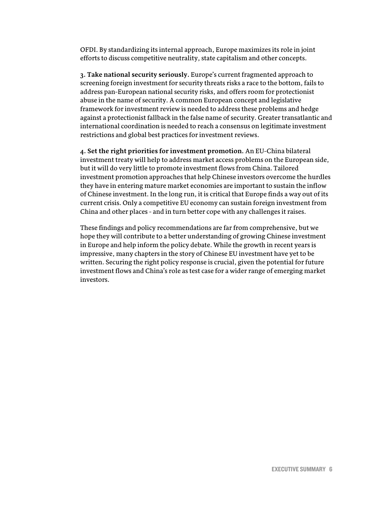OFDI. By standardizing its internal approach, Europe maximizes its role in joint efforts to discuss competitive neutrality, state capitalism and other concepts.

**3. Take national security seriously.** Europe's current fragmented approach to screening foreign investment for security threats risks a race to the bottom, fails to address pan-European national security risks, and offers room for protectionist abuse in the name of security. A common European concept and legislative framework for investment review is needed to address these problems and hedge against a protectionist fallback in the false name of security. Greater transatlantic and international coordination is needed to reach a consensus on legitimate investment restrictions and global best practices for investment reviews.

**4. Set the right priorities for investment promotion.** An EU-China bilateral investment treaty will help to address market access problems on the European side, but it will do very little to promote investment flows from China. Tailored investment promotion approaches that help Chinese investors overcome the hurdles they have in entering mature market economies are important to sustain the inflow of Chinese investment. In the long run, it is critical that Europe finds a way out of its current crisis. Only a competitive EU economy can sustain foreign investment from China and other places - and in turn better cope with any challenges it raises.

These findings and policy recommendations are far from comprehensive, but we hope they will contribute to a better understanding of growing Chinese investment in Europe and help inform the policy debate. While the growth in recent years is impressive, many chapters in the story of Chinese EU investment have yet to be written. Securing the right policy response is crucial, given the potential for future investment flows and China's role as test case for a wider range of emerging market investors.